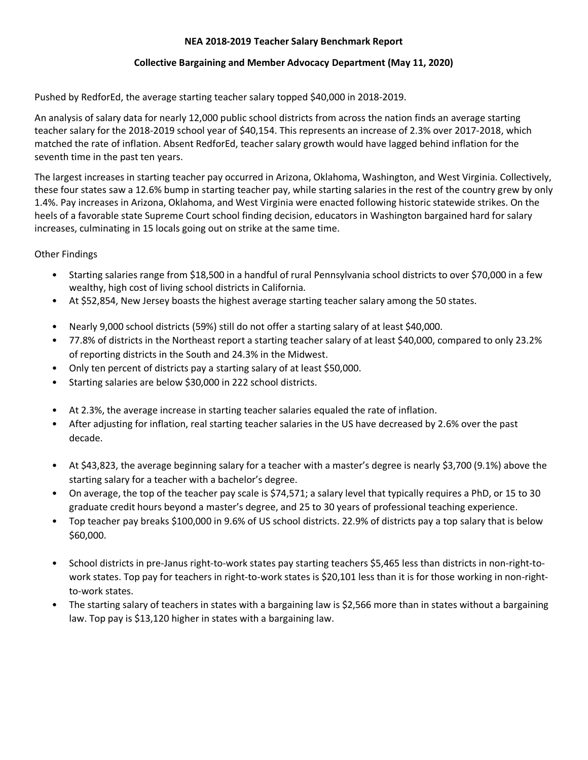## **NEA 2018-2019 Teacher Salary Benchmark Report**

## **Collective Bargaining and Member Advocacy Department (May 11, 2020)**

Pushed by RedforEd, the average starting teacher salary topped \$40,000 in 2018-2019.

An analysis of salary data for nearly 12,000 public school districts from across the nation finds an average starting teacher salary for the 2018-2019 school year of \$40,154. This represents an increase of 2.3% over 2017-2018, which matched the rate of inflation. Absent RedforEd, teacher salary growth would have lagged behind inflation for the seventh time in the past ten years.

The largest increases in starting teacher pay occurred in Arizona, Oklahoma, Washington, and West Virginia. Collectively, these four states saw a 12.6% bump in starting teacher pay, while starting salaries in the rest of the country grew by only 1.4%. Pay increases in Arizona, Oklahoma, and West Virginia were enacted following historic statewide strikes. On the heels of a favorable state Supreme Court school finding decision, educators in Washington bargained hard for salary increases, culminating in 15 locals going out on strike at the same time.

Other Findings

- Starting salaries range from \$18,500 in a handful of rural Pennsylvania school districts to over \$70,000 in a few wealthy, high cost of living school districts in California.
- At \$52,854, New Jersey boasts the highest average starting teacher salary among the 50 states.
- Nearly 9,000 school districts (59%) still do not offer a starting salary of at least \$40,000.
- 77.8% of districts in the Northeast report a starting teacher salary of at least \$40,000, compared to only 23.2% of reporting districts in the South and 24.3% in the Midwest.
- Only ten percent of districts pay a starting salary of at least \$50,000.
- Starting salaries are below \$30,000 in 222 school districts.
- At 2.3%, the average increase in starting teacher salaries equaled the rate of inflation.
- After adjusting for inflation, real starting teacher salaries in the US have decreased by 2.6% over the past decade.
- At \$43,823, the average beginning salary for a teacher with a master's degree is nearly \$3,700 (9.1%) above the starting salary for a teacher with a bachelor's degree.
- On average, the top of the teacher pay scale is \$74,571; a salary level that typically requires a PhD, or 15 to 30 graduate credit hours beyond a master's degree, and 25 to 30 years of professional teaching experience.
- Top teacher pay breaks \$100,000 in 9.6% of US school districts. 22.9% of districts pay a top salary that is below \$60,000.
- School districts in pre-Janus right-to-work states pay starting teachers \$5,465 less than districts in non-right-towork states. Top pay for teachers in right-to-work states is \$20,101 less than it is for those working in non-rightto-work states.
- The starting salary of teachers in states with a bargaining law is \$2,566 more than in states without a bargaining law. Top pay is \$13,120 higher in states with a bargaining law.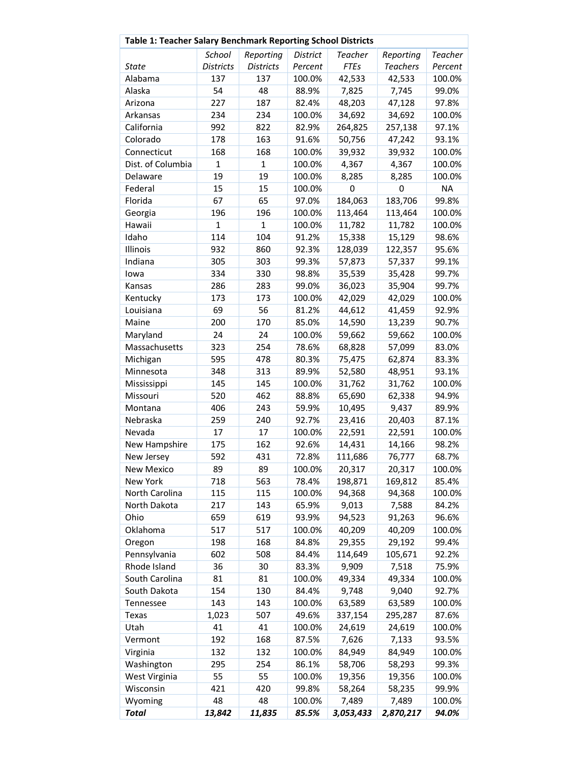|                   | Table 1: Teacher Salary Benchmark Reporting School Districts |                  |                 |                |                 |                |
|-------------------|--------------------------------------------------------------|------------------|-----------------|----------------|-----------------|----------------|
|                   | School                                                       | Reporting        | <b>District</b> | <b>Teacher</b> | Reporting       | <b>Teacher</b> |
| <b>State</b>      | <b>Districts</b>                                             | <b>Districts</b> | Percent         | <b>FTEs</b>    | <b>Teachers</b> | Percent        |
| Alabama           | 137                                                          | 137              | 100.0%          | 42,533         | 42,533          | 100.0%         |
| Alaska            | 54                                                           | 48               | 88.9%           | 7,825          | 7,745           | 99.0%          |
| Arizona           | 227                                                          | 187              | 82.4%           | 48,203         | 47,128          | 97.8%          |
| Arkansas          | 234                                                          | 234              | 100.0%          | 34,692         | 34,692          | 100.0%         |
| California        | 992                                                          | 822              | 82.9%           | 264,825        | 257,138         | 97.1%          |
| Colorado          | 178                                                          | 163              | 91.6%           | 50,756         | 47,242          | 93.1%          |
| Connecticut       | 168                                                          | 168              | 100.0%          | 39,932         | 39,932          | 100.0%         |
| Dist. of Columbia | $\mathbf{1}$                                                 | $\mathbf{1}$     | 100.0%          | 4,367          | 4,367           | 100.0%         |
| Delaware          | 19                                                           | 19               | 100.0%          | 8,285          | 8,285           | 100.0%         |
| Federal           | 15                                                           | 15               | 100.0%          | 0              | 0               | <b>NA</b>      |
| Florida           | 67                                                           | 65               | 97.0%           | 184,063        | 183,706         | 99.8%          |
| Georgia           | 196                                                          | 196              | 100.0%          | 113,464        | 113,464         | 100.0%         |
| Hawaii            | $\mathbf{1}$                                                 | 1                | 100.0%          | 11,782         | 11,782          | 100.0%         |
| Idaho             | 114                                                          | 104              | 91.2%           | 15,338         | 15,129          | 98.6%          |
| Illinois          | 932                                                          | 860              | 92.3%           | 128,039        | 122,357         | 95.6%          |
| Indiana           | 305                                                          | 303              | 99.3%           | 57,873         | 57,337          | 99.1%          |
| lowa              | 334                                                          | 330              | 98.8%           | 35,539         | 35,428          | 99.7%          |
| Kansas            | 286                                                          | 283              | 99.0%           | 36,023         | 35,904          | 99.7%          |
| Kentucky          | 173                                                          | 173              | 100.0%          | 42,029         | 42,029          | 100.0%         |
| Louisiana         | 69                                                           | 56               | 81.2%           | 44,612         | 41,459          | 92.9%          |
| Maine             | 200                                                          | 170              | 85.0%           | 14,590         | 13,239          | 90.7%          |
| Maryland          | 24                                                           | 24               | 100.0%          | 59,662         | 59,662          | 100.0%         |
| Massachusetts     | 323                                                          | 254              | 78.6%           | 68,828         | 57,099          | 83.0%          |
| Michigan          | 595                                                          | 478              | 80.3%           | 75,475         | 62,874          | 83.3%          |
| Minnesota         | 348                                                          | 313              | 89.9%           | 52,580         | 48,951          | 93.1%          |
| Mississippi       | 145                                                          | 145              | 100.0%          | 31,762         | 31,762          | 100.0%         |
| Missouri          | 520                                                          | 462              | 88.8%           | 65,690         | 62,338          | 94.9%          |
| Montana           | 406                                                          | 243              | 59.9%           | 10,495         | 9,437           | 89.9%          |
| Nebraska          | 259                                                          | 240              | 92.7%           | 23,416         | 20,403          | 87.1%          |
| Nevada            | 17                                                           | 17               | 100.0%          | 22,591         | 22,591          | 100.0%         |
| New Hampshire     | 175                                                          | 162              | 92.6%           | 14,431         | 14,166          | 98.2%          |
| New Jersey        | 592                                                          | 431              | 72.8%           | 111,686        | 76,777          | 68.7%          |
| <b>New Mexico</b> | 89                                                           | 89               | 100.0%          | 20,317         | 20,317          | 100.0%         |
| New York          | 718                                                          | 563              | 78.4%           | 198,871        | 169,812         | 85.4%          |
| North Carolina    | 115                                                          | 115              | 100.0%          | 94,368         | 94,368          | 100.0%         |
| North Dakota      | 217                                                          | 143              | 65.9%           | 9,013          | 7,588           | 84.2%          |
| Ohio              | 659                                                          | 619              | 93.9%           | 94,523         | 91,263          | 96.6%          |
| Oklahoma          | 517                                                          | 517              | 100.0%          | 40,209         | 40,209          | 100.0%         |
| Oregon            | 198                                                          | 168              | 84.8%           | 29,355         | 29,192          | 99.4%          |
| Pennsylvania      | 602                                                          | 508              | 84.4%           | 114,649        | 105,671         | 92.2%          |
| Rhode Island      | 36                                                           | 30               | 83.3%           | 9,909          | 7,518           | 75.9%          |
| South Carolina    | 81                                                           | 81               | 100.0%          | 49,334         | 49,334          | 100.0%         |
| South Dakota      | 154                                                          | 130              | 84.4%           | 9,748          | 9,040           | 92.7%          |
| Tennessee         | 143                                                          | 143              | 100.0%          | 63,589         | 63,589          | 100.0%         |
| Texas             | 1,023                                                        | 507              | 49.6%           | 337,154        | 295,287         | 87.6%          |
| Utah              | 41                                                           | 41               | 100.0%          | 24,619         | 24,619          | 100.0%         |
| Vermont           | 192                                                          | 168              | 87.5%           | 7,626          | 7,133           | 93.5%          |
| Virginia          | 132                                                          | 132              | 100.0%          | 84,949         | 84,949          | 100.0%         |
| Washington        | 295                                                          | 254              | 86.1%           | 58,706         | 58,293          | 99.3%          |
| West Virginia     | 55                                                           | 55               | 100.0%          | 19,356         | 19,356          | 100.0%         |
| Wisconsin         | 421                                                          | 420              | 99.8%           | 58,264         | 58,235          | 99.9%          |
| Wyoming           | 48                                                           | 48               | 100.0%          | 7,489          | 7,489           | 100.0%         |
| <b>Total</b>      | 13,842                                                       | 11,835           | 85.5%           | 3,053,433      | 2,870,217       | 94.0%          |
|                   |                                                              |                  |                 |                |                 |                |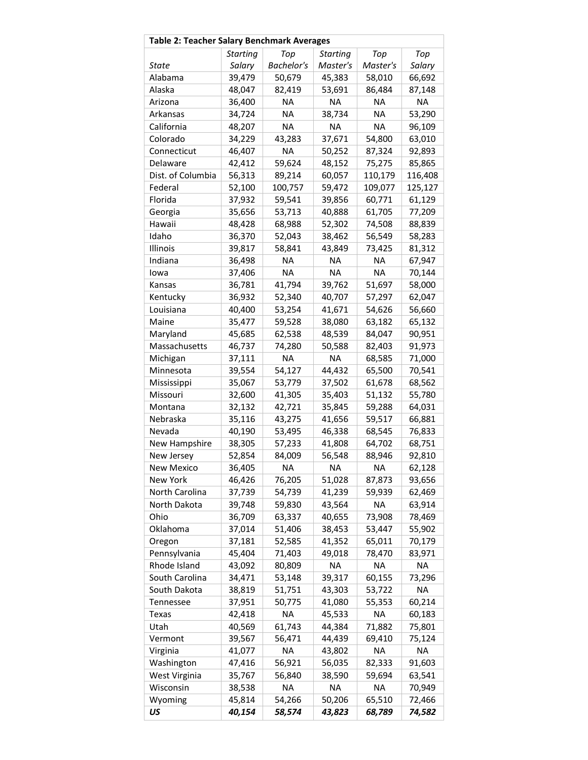| Table 2: Teacher Salary Benchmark Averages |                 |                   |                 |           |           |
|--------------------------------------------|-----------------|-------------------|-----------------|-----------|-----------|
|                                            | <b>Starting</b> | Top               | <b>Starting</b> | Top       | Top       |
| State                                      | Salary          | <b>Bachelor's</b> | Master's        | Master's  | Salary    |
| Alabama                                    | 39,479          | 50,679            | 45,383          | 58,010    | 66,692    |
| Alaska                                     | 48,047          | 82,419            | 53,691          | 86,484    | 87,148    |
| Arizona                                    | 36,400          | NA.               | <b>NA</b>       | NA        | <b>NA</b> |
| Arkansas                                   | 34,724          | <b>NA</b>         | 38,734          | <b>NA</b> | 53,290    |
| California                                 | 48,207          | <b>NA</b>         | <b>NA</b>       | <b>NA</b> | 96,109    |
| Colorado                                   | 34,229          | 43,283            | 37,671          | 54,800    | 63,010    |
| Connecticut                                | 46,407          | <b>NA</b>         | 50,252          | 87,324    | 92,893    |
| Delaware                                   | 42,412          | 59,624            | 48,152          | 75,275    | 85,865    |
| Dist. of Columbia                          | 56,313          | 89,214            | 60,057          | 110,179   | 116,408   |
| Federal                                    | 52,100          | 100,757           | 59,472          | 109,077   | 125,127   |
| Florida                                    | 37,932          | 59,541            | 39,856          | 60,771    | 61,129    |
| Georgia                                    | 35,656          | 53,713            | 40,888          | 61,705    | 77,209    |
| Hawaii                                     | 48,428          | 68,988            | 52,302          | 74,508    | 88,839    |
| Idaho                                      | 36,370          | 52,043            | 38,462          | 56,549    | 58,283    |
| Illinois                                   | 39,817          | 58,841            | 43,849          | 73,425    | 81,312    |
| Indiana                                    | 36,498          | <b>NA</b>         | NA              | NA        | 67,947    |
| lowa                                       | 37,406          | <b>NA</b>         | <b>NA</b>       | <b>NA</b> | 70,144    |
| Kansas                                     | 36,781          | 41,794            | 39,762          | 51,697    | 58,000    |
| Kentucky                                   | 36,932          | 52,340            | 40,707          | 57,297    | 62,047    |
| Louisiana                                  | 40,400          | 53,254            | 41,671          | 54,626    | 56,660    |
| Maine                                      | 35,477          | 59,528            | 38,080          | 63,182    | 65,132    |
| Maryland                                   | 45,685          | 62,538            | 48,539          | 84,047    | 90,951    |
| Massachusetts                              | 46,737          | 74,280            | 50,588          | 82,403    | 91,973    |
| Michigan                                   | 37,111          | <b>NA</b>         | <b>NA</b>       | 68,585    | 71,000    |
| Minnesota                                  | 39,554          | 54,127            | 44,432          | 65,500    | 70,541    |
| Mississippi                                | 35,067          | 53,779            | 37,502          | 61,678    | 68,562    |
| Missouri                                   | 32,600          | 41,305            | 35,403          | 51,132    | 55,780    |
| Montana                                    | 32,132          | 42,721            | 35,845          | 59,288    | 64,031    |
| Nebraska                                   | 35,116          | 43,275            | 41,656          | 59,517    | 66,881    |
| Nevada                                     | 40,190          | 53,495            | 46,338          | 68,545    | 76,833    |
| New Hampshire                              | 38,305          | 57,233            | 41,808          | 64,702    | 68,751    |
| New Jersey                                 | 52,854          | 84,009            | 56,548          | 88,946    | 92,810    |
| New Mexico                                 | 36,405          | <b>NA</b>         | <b>NA</b>       | <b>NA</b> | 62,128    |
| New York                                   | 46,426          | 76,205            | 51,028          | 87,873    | 93,656    |
| North Carolina                             | 37,739          | 54,739            | 41,239          | 59,939    | 62,469    |
| North Dakota                               | 39,748          | 59,830            | 43,564          | ΝA        | 63,914    |
| Ohio                                       | 36,709          | 63,337            | 40,655          | 73,908    | 78,469    |
| Oklahoma                                   | 37,014          | 51,406            | 38,453          | 53,447    | 55,902    |
| Oregon                                     | 37,181          | 52,585            | 41,352          | 65,011    | 70,179    |
| Pennsylvania                               | 45,404          | 71,403            | 49,018          | 78,470    | 83,971    |
| Rhode Island                               | 43,092          | 80,809            | ΝA              | ΝA        | ΝA        |
| South Carolina                             | 34,471          | 53,148            | 39,317          | 60,155    | 73,296    |
| South Dakota                               | 38,819          | 51,751            | 43,303          | 53,722    | <b>NA</b> |
| Tennessee                                  | 37,951          | 50,775            | 41,080          | 55,353    | 60,214    |
| Texas                                      | 42,418          | ΝA                | 45,533          | ΝA        | 60,183    |
| Utah                                       | 40,569          | 61,743            | 44,384          | 71,882    | 75,801    |
| Vermont                                    | 39,567          | 56,471            | 44,439          | 69,410    | 75,124    |
| Virginia                                   | 41,077          | ΝA                | 43,802          | ΝA        | ΝA        |
| Washington                                 | 47,416          | 56,921            | 56,035          | 82,333    | 91,603    |
| West Virginia                              | 35,767          | 56,840            | 38,590          | 59,694    | 63,541    |
| Wisconsin                                  | 38,538          | <b>NA</b>         | <b>NA</b>       | <b>NA</b> | 70,949    |
| Wyoming                                    | 45,814          | 54,266            | 50,206          | 65,510    | 72,466    |
| US                                         | 40,154          | 58,574            | 43,823          | 68,789    | 74,582    |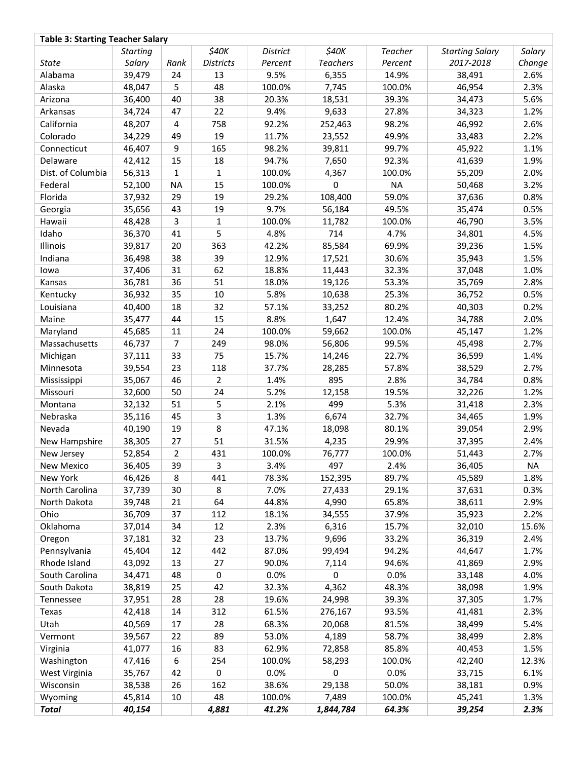| \$40K<br>\$40K<br><b>Teacher</b><br><b>Starting Salary</b><br>Salary<br><b>Starting</b><br><b>District</b><br><b>Districts</b><br><b>Teachers</b><br>Salary<br>Percent<br>2017-2018<br>Change<br><b>State</b><br>Rank<br>Percent<br>Alabama<br>39,479<br>2.6%<br>24<br>13<br>9.5%<br>6,355<br>14.9%<br>38,491<br>48,047<br>5<br>48<br>100.0%<br>7,745<br>100.0%<br>46,954<br>2.3%<br>Alaska<br>40<br>38<br>39.3%<br>5.6%<br>Arizona<br>36,400<br>20.3%<br>18,531<br>34,473<br>22<br>9.4%<br>9,633<br>27.8%<br>1.2%<br>Arkansas<br>34,724<br>47<br>34,323<br>758<br>92.2%<br>252,463<br>98.2%<br>2.6%<br>California<br>48,207<br>4<br>46,992<br>49<br>19<br>49.9%<br>2.2%<br>Colorado<br>34,229<br>11.7%<br>23,552<br>33,483<br>46,407<br>$\boldsymbol{9}$<br>98.2%<br>99.7%<br>1.1%<br>165<br>39,811<br>45,922<br>Connecticut<br>15<br>94.7%<br>1.9%<br>Delaware<br>42,412<br>18<br>7,650<br>92.3%<br>41,639<br>Dist. of Columbia<br>56,313<br>1<br>$\mathbf{1}$<br>100.0%<br>4,367<br>100.0%<br>55,209<br>2.0%<br>Federal<br>100.0%<br>0<br><b>NA</b><br>3.2%<br>52,100<br><b>NA</b><br>15<br>50,468<br>Florida<br>29<br>19<br>29.2%<br>59.0%<br>0.8%<br>37,932<br>108,400<br>37,636<br>43<br>19<br>9.7%<br>49.5%<br>35,474<br>0.5%<br>Georgia<br>35,656<br>56,184<br>3<br>100.0%<br>46,790<br>3.5%<br>Hawaii<br>48,428<br>1<br>11,782<br>100.0%<br>5<br>Idaho<br>36,370<br>41<br>4.8%<br>714<br>4.7%<br>4.5%<br>34,801<br>20<br>363<br>42.2%<br>85,584<br>69.9%<br>1.5%<br>Illinois<br>39,817<br>39,236<br>Indiana<br>38<br>39<br>30.6%<br>1.5%<br>36,498<br>12.9%<br>17,521<br>35,943<br>31<br>62<br>37,406<br>18.8%<br>11,443<br>32.3%<br>37,048<br>1.0%<br>lowa<br>36<br>Kansas<br>36,781<br>51<br>18.0%<br>19,126<br>53.3%<br>35,769<br>2.8%<br>35<br>10<br>5.8%<br>25.3%<br>0.5%<br>Kentucky<br>36,932<br>10,638<br>36,752<br>18<br>32<br>57.1%<br>80.2%<br>0.2%<br>Louisiana<br>40,400<br>33,252<br>40,303<br>Maine<br>35,477<br>44<br>15<br>8.8%<br>1,647<br>12.4%<br>34,788<br>2.0%<br>24<br>59,662<br>1.2%<br>Maryland<br>45,685<br>11<br>100.0%<br>100.0%<br>45,147<br>$\overline{7}$<br>249<br>98.0%<br>99.5%<br>2.7%<br>Massachusetts<br>46,737<br>56,806<br>45,498<br>Michigan<br>33<br>22.7%<br>1.4%<br>37,111<br>75<br>15.7%<br>14,246<br>36,599<br>23<br>57.8%<br>2.7%<br>Minnesota<br>39,554<br>118<br>37.7%<br>28,285<br>38,529<br>46<br>$\overline{2}$<br>895<br>2.8%<br>0.8%<br>35,067<br>1.4%<br>34,784<br>Mississippi<br>50<br>5.2%<br>Missouri<br>32,600<br>24<br>12,158<br>19.5%<br>32,226<br>1.2%<br>499<br>51<br>5<br>2.1%<br>5.3%<br>2.3%<br>Montana<br>32,132<br>31,418<br>3<br>45<br>1.3%<br>6,674<br>32.7%<br>1.9%<br>Nebraska<br>35,116<br>34,465<br>8<br>19<br>47.1%<br>80.1%<br>2.9%<br>Nevada<br>40,190<br>18,098<br>39,054<br>51<br>38,305<br>27<br>31.5%<br>4,235<br>29.9%<br>2.4%<br>New Hampshire<br>37,395<br>$\overline{2}$<br>431<br>76,777<br>2.7%<br>52,854<br>100.0%<br>100.0%<br>New Jersey<br>51,443<br>39<br>36,405<br>New Mexico<br>3.<br>3.4%<br>497<br>2.4%<br>36,405<br>NA.<br>8<br>89.7%<br>45,589<br>New York<br>46,426<br>441<br>78.3%<br>152,395<br>1.8%<br>7.0%<br>North Carolina<br>37,739<br>30<br>8<br>29.1%<br>37,631<br>0.3%<br>27,433<br>64<br>North Dakota<br>39,748<br>21<br>44.8%<br>4,990<br>65.8%<br>38,611<br>2.9%<br>Ohio<br>36,709<br>37<br>112<br>18.1%<br>34,555<br>37.9%<br>35,923<br>2.2%<br>Oklahoma<br>37,014<br>34<br>12<br>2.3%<br>6,316<br>15.7%<br>32,010<br>15.6%<br>37,181<br>32<br>23<br>13.7%<br>9,696<br>33.2%<br>36,319<br>2.4%<br>Oregon<br>12<br>442<br>Pennsylvania<br>45,404<br>87.0%<br>99,494<br>94.2%<br>44,647<br>1.7%<br>Rhode Island<br>43,092<br>13<br>27<br>90.0%<br>7,114<br>94.6%<br>41,869<br>2.9%<br>South Carolina<br>48<br>0<br>0.0%<br>0<br>0.0%<br>4.0%<br>34,471<br>33,148<br>25<br>42<br>32.3%<br>4,362<br>48.3%<br>South Dakota<br>38,819<br>38,098<br>1.9%<br>37,951<br>28<br>28<br>19.6%<br>24,998<br>39.3%<br>37,305<br>1.7%<br>Tennessee<br>14<br>312<br>61.5%<br>276,167<br>93.5%<br>2.3%<br>Texas<br>42,418<br>41,481<br>Utah<br>40,569<br>17<br>28<br>68.3%<br>20,068<br>81.5%<br>38,499<br>5.4%<br>39,567<br>22<br>89<br>53.0%<br>4,189<br>58.7%<br>38,499<br>2.8%<br>Vermont<br>41,077<br>16<br>83<br>62.9%<br>72,858<br>85.8%<br>40,453<br>1.5%<br>Virginia<br>6<br>47,416<br>254<br>100.0%<br>58,293<br>100.0%<br>42,240<br>12.3%<br>Washington<br>0<br>42<br>0<br>0.0%<br>0.0%<br>6.1%<br>West Virginia<br>35,767<br>33,715<br>26<br>Wisconsin<br>38,538<br>162<br>38.6%<br>50.0%<br>29,138<br>38,181<br>0.9%<br>48<br>Wyoming<br>45,814<br>10<br>100.0%<br>7,489<br>100.0%<br>45,241<br>1.3%<br><b>Total</b><br>40,154<br>4,881<br>41.2%<br>1,844,784<br>64.3%<br>39,254<br>2.3% | <b>Table 3: Starting Teacher Salary</b> |  |  |  |  |
|--------------------------------------------------------------------------------------------------------------------------------------------------------------------------------------------------------------------------------------------------------------------------------------------------------------------------------------------------------------------------------------------------------------------------------------------------------------------------------------------------------------------------------------------------------------------------------------------------------------------------------------------------------------------------------------------------------------------------------------------------------------------------------------------------------------------------------------------------------------------------------------------------------------------------------------------------------------------------------------------------------------------------------------------------------------------------------------------------------------------------------------------------------------------------------------------------------------------------------------------------------------------------------------------------------------------------------------------------------------------------------------------------------------------------------------------------------------------------------------------------------------------------------------------------------------------------------------------------------------------------------------------------------------------------------------------------------------------------------------------------------------------------------------------------------------------------------------------------------------------------------------------------------------------------------------------------------------------------------------------------------------------------------------------------------------------------------------------------------------------------------------------------------------------------------------------------------------------------------------------------------------------------------------------------------------------------------------------------------------------------------------------------------------------------------------------------------------------------------------------------------------------------------------------------------------------------------------------------------------------------------------------------------------------------------------------------------------------------------------------------------------------------------------------------------------------------------------------------------------------------------------------------------------------------------------------------------------------------------------------------------------------------------------------------------------------------------------------------------------------------------------------------------------------------------------------------------------------------------------------------------------------------------------------------------------------------------------------------------------------------------------------------------------------------------------------------------------------------------------------------------------------------------------------------------------------------------------------------------------------------------------------------------------------------------------------------------------------------------------------------------------------------------------------------------------------------------------------------------------------------------------------------------------------------------------------------------------------------------------------------------------------------------------------------------------------------------------------------------------------------------------------------------------------------------------------------------------------------------------------------------------------------------------------------------------------------------------------------------------------------------------------------------------------------------------------------------------------------------------------------------------------------------------------------------------------------------------------------------------------------------------------------------------------------------------------------------------|-----------------------------------------|--|--|--|--|
|                                                                                                                                                                                                                                                                                                                                                                                                                                                                                                                                                                                                                                                                                                                                                                                                                                                                                                                                                                                                                                                                                                                                                                                                                                                                                                                                                                                                                                                                                                                                                                                                                                                                                                                                                                                                                                                                                                                                                                                                                                                                                                                                                                                                                                                                                                                                                                                                                                                                                                                                                                                                                                                                                                                                                                                                                                                                                                                                                                                                                                                                                                                                                                                                                                                                                                                                                                                                                                                                                                                                                                                                                                                                                                                                                                                                                                                                                                                                                                                                                                                                                                                                                                                                                                                                                                                                                                                                                                                                                                                                                                                                                                                                                                              |                                         |  |  |  |  |
|                                                                                                                                                                                                                                                                                                                                                                                                                                                                                                                                                                                                                                                                                                                                                                                                                                                                                                                                                                                                                                                                                                                                                                                                                                                                                                                                                                                                                                                                                                                                                                                                                                                                                                                                                                                                                                                                                                                                                                                                                                                                                                                                                                                                                                                                                                                                                                                                                                                                                                                                                                                                                                                                                                                                                                                                                                                                                                                                                                                                                                                                                                                                                                                                                                                                                                                                                                                                                                                                                                                                                                                                                                                                                                                                                                                                                                                                                                                                                                                                                                                                                                                                                                                                                                                                                                                                                                                                                                                                                                                                                                                                                                                                                                              |                                         |  |  |  |  |
|                                                                                                                                                                                                                                                                                                                                                                                                                                                                                                                                                                                                                                                                                                                                                                                                                                                                                                                                                                                                                                                                                                                                                                                                                                                                                                                                                                                                                                                                                                                                                                                                                                                                                                                                                                                                                                                                                                                                                                                                                                                                                                                                                                                                                                                                                                                                                                                                                                                                                                                                                                                                                                                                                                                                                                                                                                                                                                                                                                                                                                                                                                                                                                                                                                                                                                                                                                                                                                                                                                                                                                                                                                                                                                                                                                                                                                                                                                                                                                                                                                                                                                                                                                                                                                                                                                                                                                                                                                                                                                                                                                                                                                                                                                              |                                         |  |  |  |  |
|                                                                                                                                                                                                                                                                                                                                                                                                                                                                                                                                                                                                                                                                                                                                                                                                                                                                                                                                                                                                                                                                                                                                                                                                                                                                                                                                                                                                                                                                                                                                                                                                                                                                                                                                                                                                                                                                                                                                                                                                                                                                                                                                                                                                                                                                                                                                                                                                                                                                                                                                                                                                                                                                                                                                                                                                                                                                                                                                                                                                                                                                                                                                                                                                                                                                                                                                                                                                                                                                                                                                                                                                                                                                                                                                                                                                                                                                                                                                                                                                                                                                                                                                                                                                                                                                                                                                                                                                                                                                                                                                                                                                                                                                                                              |                                         |  |  |  |  |
|                                                                                                                                                                                                                                                                                                                                                                                                                                                                                                                                                                                                                                                                                                                                                                                                                                                                                                                                                                                                                                                                                                                                                                                                                                                                                                                                                                                                                                                                                                                                                                                                                                                                                                                                                                                                                                                                                                                                                                                                                                                                                                                                                                                                                                                                                                                                                                                                                                                                                                                                                                                                                                                                                                                                                                                                                                                                                                                                                                                                                                                                                                                                                                                                                                                                                                                                                                                                                                                                                                                                                                                                                                                                                                                                                                                                                                                                                                                                                                                                                                                                                                                                                                                                                                                                                                                                                                                                                                                                                                                                                                                                                                                                                                              |                                         |  |  |  |  |
|                                                                                                                                                                                                                                                                                                                                                                                                                                                                                                                                                                                                                                                                                                                                                                                                                                                                                                                                                                                                                                                                                                                                                                                                                                                                                                                                                                                                                                                                                                                                                                                                                                                                                                                                                                                                                                                                                                                                                                                                                                                                                                                                                                                                                                                                                                                                                                                                                                                                                                                                                                                                                                                                                                                                                                                                                                                                                                                                                                                                                                                                                                                                                                                                                                                                                                                                                                                                                                                                                                                                                                                                                                                                                                                                                                                                                                                                                                                                                                                                                                                                                                                                                                                                                                                                                                                                                                                                                                                                                                                                                                                                                                                                                                              |                                         |  |  |  |  |
|                                                                                                                                                                                                                                                                                                                                                                                                                                                                                                                                                                                                                                                                                                                                                                                                                                                                                                                                                                                                                                                                                                                                                                                                                                                                                                                                                                                                                                                                                                                                                                                                                                                                                                                                                                                                                                                                                                                                                                                                                                                                                                                                                                                                                                                                                                                                                                                                                                                                                                                                                                                                                                                                                                                                                                                                                                                                                                                                                                                                                                                                                                                                                                                                                                                                                                                                                                                                                                                                                                                                                                                                                                                                                                                                                                                                                                                                                                                                                                                                                                                                                                                                                                                                                                                                                                                                                                                                                                                                                                                                                                                                                                                                                                              |                                         |  |  |  |  |
|                                                                                                                                                                                                                                                                                                                                                                                                                                                                                                                                                                                                                                                                                                                                                                                                                                                                                                                                                                                                                                                                                                                                                                                                                                                                                                                                                                                                                                                                                                                                                                                                                                                                                                                                                                                                                                                                                                                                                                                                                                                                                                                                                                                                                                                                                                                                                                                                                                                                                                                                                                                                                                                                                                                                                                                                                                                                                                                                                                                                                                                                                                                                                                                                                                                                                                                                                                                                                                                                                                                                                                                                                                                                                                                                                                                                                                                                                                                                                                                                                                                                                                                                                                                                                                                                                                                                                                                                                                                                                                                                                                                                                                                                                                              |                                         |  |  |  |  |
|                                                                                                                                                                                                                                                                                                                                                                                                                                                                                                                                                                                                                                                                                                                                                                                                                                                                                                                                                                                                                                                                                                                                                                                                                                                                                                                                                                                                                                                                                                                                                                                                                                                                                                                                                                                                                                                                                                                                                                                                                                                                                                                                                                                                                                                                                                                                                                                                                                                                                                                                                                                                                                                                                                                                                                                                                                                                                                                                                                                                                                                                                                                                                                                                                                                                                                                                                                                                                                                                                                                                                                                                                                                                                                                                                                                                                                                                                                                                                                                                                                                                                                                                                                                                                                                                                                                                                                                                                                                                                                                                                                                                                                                                                                              |                                         |  |  |  |  |
|                                                                                                                                                                                                                                                                                                                                                                                                                                                                                                                                                                                                                                                                                                                                                                                                                                                                                                                                                                                                                                                                                                                                                                                                                                                                                                                                                                                                                                                                                                                                                                                                                                                                                                                                                                                                                                                                                                                                                                                                                                                                                                                                                                                                                                                                                                                                                                                                                                                                                                                                                                                                                                                                                                                                                                                                                                                                                                                                                                                                                                                                                                                                                                                                                                                                                                                                                                                                                                                                                                                                                                                                                                                                                                                                                                                                                                                                                                                                                                                                                                                                                                                                                                                                                                                                                                                                                                                                                                                                                                                                                                                                                                                                                                              |                                         |  |  |  |  |
|                                                                                                                                                                                                                                                                                                                                                                                                                                                                                                                                                                                                                                                                                                                                                                                                                                                                                                                                                                                                                                                                                                                                                                                                                                                                                                                                                                                                                                                                                                                                                                                                                                                                                                                                                                                                                                                                                                                                                                                                                                                                                                                                                                                                                                                                                                                                                                                                                                                                                                                                                                                                                                                                                                                                                                                                                                                                                                                                                                                                                                                                                                                                                                                                                                                                                                                                                                                                                                                                                                                                                                                                                                                                                                                                                                                                                                                                                                                                                                                                                                                                                                                                                                                                                                                                                                                                                                                                                                                                                                                                                                                                                                                                                                              |                                         |  |  |  |  |
|                                                                                                                                                                                                                                                                                                                                                                                                                                                                                                                                                                                                                                                                                                                                                                                                                                                                                                                                                                                                                                                                                                                                                                                                                                                                                                                                                                                                                                                                                                                                                                                                                                                                                                                                                                                                                                                                                                                                                                                                                                                                                                                                                                                                                                                                                                                                                                                                                                                                                                                                                                                                                                                                                                                                                                                                                                                                                                                                                                                                                                                                                                                                                                                                                                                                                                                                                                                                                                                                                                                                                                                                                                                                                                                                                                                                                                                                                                                                                                                                                                                                                                                                                                                                                                                                                                                                                                                                                                                                                                                                                                                                                                                                                                              |                                         |  |  |  |  |
|                                                                                                                                                                                                                                                                                                                                                                                                                                                                                                                                                                                                                                                                                                                                                                                                                                                                                                                                                                                                                                                                                                                                                                                                                                                                                                                                                                                                                                                                                                                                                                                                                                                                                                                                                                                                                                                                                                                                                                                                                                                                                                                                                                                                                                                                                                                                                                                                                                                                                                                                                                                                                                                                                                                                                                                                                                                                                                                                                                                                                                                                                                                                                                                                                                                                                                                                                                                                                                                                                                                                                                                                                                                                                                                                                                                                                                                                                                                                                                                                                                                                                                                                                                                                                                                                                                                                                                                                                                                                                                                                                                                                                                                                                                              |                                         |  |  |  |  |
|                                                                                                                                                                                                                                                                                                                                                                                                                                                                                                                                                                                                                                                                                                                                                                                                                                                                                                                                                                                                                                                                                                                                                                                                                                                                                                                                                                                                                                                                                                                                                                                                                                                                                                                                                                                                                                                                                                                                                                                                                                                                                                                                                                                                                                                                                                                                                                                                                                                                                                                                                                                                                                                                                                                                                                                                                                                                                                                                                                                                                                                                                                                                                                                                                                                                                                                                                                                                                                                                                                                                                                                                                                                                                                                                                                                                                                                                                                                                                                                                                                                                                                                                                                                                                                                                                                                                                                                                                                                                                                                                                                                                                                                                                                              |                                         |  |  |  |  |
|                                                                                                                                                                                                                                                                                                                                                                                                                                                                                                                                                                                                                                                                                                                                                                                                                                                                                                                                                                                                                                                                                                                                                                                                                                                                                                                                                                                                                                                                                                                                                                                                                                                                                                                                                                                                                                                                                                                                                                                                                                                                                                                                                                                                                                                                                                                                                                                                                                                                                                                                                                                                                                                                                                                                                                                                                                                                                                                                                                                                                                                                                                                                                                                                                                                                                                                                                                                                                                                                                                                                                                                                                                                                                                                                                                                                                                                                                                                                                                                                                                                                                                                                                                                                                                                                                                                                                                                                                                                                                                                                                                                                                                                                                                              |                                         |  |  |  |  |
|                                                                                                                                                                                                                                                                                                                                                                                                                                                                                                                                                                                                                                                                                                                                                                                                                                                                                                                                                                                                                                                                                                                                                                                                                                                                                                                                                                                                                                                                                                                                                                                                                                                                                                                                                                                                                                                                                                                                                                                                                                                                                                                                                                                                                                                                                                                                                                                                                                                                                                                                                                                                                                                                                                                                                                                                                                                                                                                                                                                                                                                                                                                                                                                                                                                                                                                                                                                                                                                                                                                                                                                                                                                                                                                                                                                                                                                                                                                                                                                                                                                                                                                                                                                                                                                                                                                                                                                                                                                                                                                                                                                                                                                                                                              |                                         |  |  |  |  |
|                                                                                                                                                                                                                                                                                                                                                                                                                                                                                                                                                                                                                                                                                                                                                                                                                                                                                                                                                                                                                                                                                                                                                                                                                                                                                                                                                                                                                                                                                                                                                                                                                                                                                                                                                                                                                                                                                                                                                                                                                                                                                                                                                                                                                                                                                                                                                                                                                                                                                                                                                                                                                                                                                                                                                                                                                                                                                                                                                                                                                                                                                                                                                                                                                                                                                                                                                                                                                                                                                                                                                                                                                                                                                                                                                                                                                                                                                                                                                                                                                                                                                                                                                                                                                                                                                                                                                                                                                                                                                                                                                                                                                                                                                                              |                                         |  |  |  |  |
|                                                                                                                                                                                                                                                                                                                                                                                                                                                                                                                                                                                                                                                                                                                                                                                                                                                                                                                                                                                                                                                                                                                                                                                                                                                                                                                                                                                                                                                                                                                                                                                                                                                                                                                                                                                                                                                                                                                                                                                                                                                                                                                                                                                                                                                                                                                                                                                                                                                                                                                                                                                                                                                                                                                                                                                                                                                                                                                                                                                                                                                                                                                                                                                                                                                                                                                                                                                                                                                                                                                                                                                                                                                                                                                                                                                                                                                                                                                                                                                                                                                                                                                                                                                                                                                                                                                                                                                                                                                                                                                                                                                                                                                                                                              |                                         |  |  |  |  |
|                                                                                                                                                                                                                                                                                                                                                                                                                                                                                                                                                                                                                                                                                                                                                                                                                                                                                                                                                                                                                                                                                                                                                                                                                                                                                                                                                                                                                                                                                                                                                                                                                                                                                                                                                                                                                                                                                                                                                                                                                                                                                                                                                                                                                                                                                                                                                                                                                                                                                                                                                                                                                                                                                                                                                                                                                                                                                                                                                                                                                                                                                                                                                                                                                                                                                                                                                                                                                                                                                                                                                                                                                                                                                                                                                                                                                                                                                                                                                                                                                                                                                                                                                                                                                                                                                                                                                                                                                                                                                                                                                                                                                                                                                                              |                                         |  |  |  |  |
|                                                                                                                                                                                                                                                                                                                                                                                                                                                                                                                                                                                                                                                                                                                                                                                                                                                                                                                                                                                                                                                                                                                                                                                                                                                                                                                                                                                                                                                                                                                                                                                                                                                                                                                                                                                                                                                                                                                                                                                                                                                                                                                                                                                                                                                                                                                                                                                                                                                                                                                                                                                                                                                                                                                                                                                                                                                                                                                                                                                                                                                                                                                                                                                                                                                                                                                                                                                                                                                                                                                                                                                                                                                                                                                                                                                                                                                                                                                                                                                                                                                                                                                                                                                                                                                                                                                                                                                                                                                                                                                                                                                                                                                                                                              |                                         |  |  |  |  |
|                                                                                                                                                                                                                                                                                                                                                                                                                                                                                                                                                                                                                                                                                                                                                                                                                                                                                                                                                                                                                                                                                                                                                                                                                                                                                                                                                                                                                                                                                                                                                                                                                                                                                                                                                                                                                                                                                                                                                                                                                                                                                                                                                                                                                                                                                                                                                                                                                                                                                                                                                                                                                                                                                                                                                                                                                                                                                                                                                                                                                                                                                                                                                                                                                                                                                                                                                                                                                                                                                                                                                                                                                                                                                                                                                                                                                                                                                                                                                                                                                                                                                                                                                                                                                                                                                                                                                                                                                                                                                                                                                                                                                                                                                                              |                                         |  |  |  |  |
|                                                                                                                                                                                                                                                                                                                                                                                                                                                                                                                                                                                                                                                                                                                                                                                                                                                                                                                                                                                                                                                                                                                                                                                                                                                                                                                                                                                                                                                                                                                                                                                                                                                                                                                                                                                                                                                                                                                                                                                                                                                                                                                                                                                                                                                                                                                                                                                                                                                                                                                                                                                                                                                                                                                                                                                                                                                                                                                                                                                                                                                                                                                                                                                                                                                                                                                                                                                                                                                                                                                                                                                                                                                                                                                                                                                                                                                                                                                                                                                                                                                                                                                                                                                                                                                                                                                                                                                                                                                                                                                                                                                                                                                                                                              |                                         |  |  |  |  |
|                                                                                                                                                                                                                                                                                                                                                                                                                                                                                                                                                                                                                                                                                                                                                                                                                                                                                                                                                                                                                                                                                                                                                                                                                                                                                                                                                                                                                                                                                                                                                                                                                                                                                                                                                                                                                                                                                                                                                                                                                                                                                                                                                                                                                                                                                                                                                                                                                                                                                                                                                                                                                                                                                                                                                                                                                                                                                                                                                                                                                                                                                                                                                                                                                                                                                                                                                                                                                                                                                                                                                                                                                                                                                                                                                                                                                                                                                                                                                                                                                                                                                                                                                                                                                                                                                                                                                                                                                                                                                                                                                                                                                                                                                                              |                                         |  |  |  |  |
|                                                                                                                                                                                                                                                                                                                                                                                                                                                                                                                                                                                                                                                                                                                                                                                                                                                                                                                                                                                                                                                                                                                                                                                                                                                                                                                                                                                                                                                                                                                                                                                                                                                                                                                                                                                                                                                                                                                                                                                                                                                                                                                                                                                                                                                                                                                                                                                                                                                                                                                                                                                                                                                                                                                                                                                                                                                                                                                                                                                                                                                                                                                                                                                                                                                                                                                                                                                                                                                                                                                                                                                                                                                                                                                                                                                                                                                                                                                                                                                                                                                                                                                                                                                                                                                                                                                                                                                                                                                                                                                                                                                                                                                                                                              |                                         |  |  |  |  |
|                                                                                                                                                                                                                                                                                                                                                                                                                                                                                                                                                                                                                                                                                                                                                                                                                                                                                                                                                                                                                                                                                                                                                                                                                                                                                                                                                                                                                                                                                                                                                                                                                                                                                                                                                                                                                                                                                                                                                                                                                                                                                                                                                                                                                                                                                                                                                                                                                                                                                                                                                                                                                                                                                                                                                                                                                                                                                                                                                                                                                                                                                                                                                                                                                                                                                                                                                                                                                                                                                                                                                                                                                                                                                                                                                                                                                                                                                                                                                                                                                                                                                                                                                                                                                                                                                                                                                                                                                                                                                                                                                                                                                                                                                                              |                                         |  |  |  |  |
|                                                                                                                                                                                                                                                                                                                                                                                                                                                                                                                                                                                                                                                                                                                                                                                                                                                                                                                                                                                                                                                                                                                                                                                                                                                                                                                                                                                                                                                                                                                                                                                                                                                                                                                                                                                                                                                                                                                                                                                                                                                                                                                                                                                                                                                                                                                                                                                                                                                                                                                                                                                                                                                                                                                                                                                                                                                                                                                                                                                                                                                                                                                                                                                                                                                                                                                                                                                                                                                                                                                                                                                                                                                                                                                                                                                                                                                                                                                                                                                                                                                                                                                                                                                                                                                                                                                                                                                                                                                                                                                                                                                                                                                                                                              |                                         |  |  |  |  |
|                                                                                                                                                                                                                                                                                                                                                                                                                                                                                                                                                                                                                                                                                                                                                                                                                                                                                                                                                                                                                                                                                                                                                                                                                                                                                                                                                                                                                                                                                                                                                                                                                                                                                                                                                                                                                                                                                                                                                                                                                                                                                                                                                                                                                                                                                                                                                                                                                                                                                                                                                                                                                                                                                                                                                                                                                                                                                                                                                                                                                                                                                                                                                                                                                                                                                                                                                                                                                                                                                                                                                                                                                                                                                                                                                                                                                                                                                                                                                                                                                                                                                                                                                                                                                                                                                                                                                                                                                                                                                                                                                                                                                                                                                                              |                                         |  |  |  |  |
|                                                                                                                                                                                                                                                                                                                                                                                                                                                                                                                                                                                                                                                                                                                                                                                                                                                                                                                                                                                                                                                                                                                                                                                                                                                                                                                                                                                                                                                                                                                                                                                                                                                                                                                                                                                                                                                                                                                                                                                                                                                                                                                                                                                                                                                                                                                                                                                                                                                                                                                                                                                                                                                                                                                                                                                                                                                                                                                                                                                                                                                                                                                                                                                                                                                                                                                                                                                                                                                                                                                                                                                                                                                                                                                                                                                                                                                                                                                                                                                                                                                                                                                                                                                                                                                                                                                                                                                                                                                                                                                                                                                                                                                                                                              |                                         |  |  |  |  |
|                                                                                                                                                                                                                                                                                                                                                                                                                                                                                                                                                                                                                                                                                                                                                                                                                                                                                                                                                                                                                                                                                                                                                                                                                                                                                                                                                                                                                                                                                                                                                                                                                                                                                                                                                                                                                                                                                                                                                                                                                                                                                                                                                                                                                                                                                                                                                                                                                                                                                                                                                                                                                                                                                                                                                                                                                                                                                                                                                                                                                                                                                                                                                                                                                                                                                                                                                                                                                                                                                                                                                                                                                                                                                                                                                                                                                                                                                                                                                                                                                                                                                                                                                                                                                                                                                                                                                                                                                                                                                                                                                                                                                                                                                                              |                                         |  |  |  |  |
|                                                                                                                                                                                                                                                                                                                                                                                                                                                                                                                                                                                                                                                                                                                                                                                                                                                                                                                                                                                                                                                                                                                                                                                                                                                                                                                                                                                                                                                                                                                                                                                                                                                                                                                                                                                                                                                                                                                                                                                                                                                                                                                                                                                                                                                                                                                                                                                                                                                                                                                                                                                                                                                                                                                                                                                                                                                                                                                                                                                                                                                                                                                                                                                                                                                                                                                                                                                                                                                                                                                                                                                                                                                                                                                                                                                                                                                                                                                                                                                                                                                                                                                                                                                                                                                                                                                                                                                                                                                                                                                                                                                                                                                                                                              |                                         |  |  |  |  |
|                                                                                                                                                                                                                                                                                                                                                                                                                                                                                                                                                                                                                                                                                                                                                                                                                                                                                                                                                                                                                                                                                                                                                                                                                                                                                                                                                                                                                                                                                                                                                                                                                                                                                                                                                                                                                                                                                                                                                                                                                                                                                                                                                                                                                                                                                                                                                                                                                                                                                                                                                                                                                                                                                                                                                                                                                                                                                                                                                                                                                                                                                                                                                                                                                                                                                                                                                                                                                                                                                                                                                                                                                                                                                                                                                                                                                                                                                                                                                                                                                                                                                                                                                                                                                                                                                                                                                                                                                                                                                                                                                                                                                                                                                                              |                                         |  |  |  |  |
|                                                                                                                                                                                                                                                                                                                                                                                                                                                                                                                                                                                                                                                                                                                                                                                                                                                                                                                                                                                                                                                                                                                                                                                                                                                                                                                                                                                                                                                                                                                                                                                                                                                                                                                                                                                                                                                                                                                                                                                                                                                                                                                                                                                                                                                                                                                                                                                                                                                                                                                                                                                                                                                                                                                                                                                                                                                                                                                                                                                                                                                                                                                                                                                                                                                                                                                                                                                                                                                                                                                                                                                                                                                                                                                                                                                                                                                                                                                                                                                                                                                                                                                                                                                                                                                                                                                                                                                                                                                                                                                                                                                                                                                                                                              |                                         |  |  |  |  |
|                                                                                                                                                                                                                                                                                                                                                                                                                                                                                                                                                                                                                                                                                                                                                                                                                                                                                                                                                                                                                                                                                                                                                                                                                                                                                                                                                                                                                                                                                                                                                                                                                                                                                                                                                                                                                                                                                                                                                                                                                                                                                                                                                                                                                                                                                                                                                                                                                                                                                                                                                                                                                                                                                                                                                                                                                                                                                                                                                                                                                                                                                                                                                                                                                                                                                                                                                                                                                                                                                                                                                                                                                                                                                                                                                                                                                                                                                                                                                                                                                                                                                                                                                                                                                                                                                                                                                                                                                                                                                                                                                                                                                                                                                                              |                                         |  |  |  |  |
|                                                                                                                                                                                                                                                                                                                                                                                                                                                                                                                                                                                                                                                                                                                                                                                                                                                                                                                                                                                                                                                                                                                                                                                                                                                                                                                                                                                                                                                                                                                                                                                                                                                                                                                                                                                                                                                                                                                                                                                                                                                                                                                                                                                                                                                                                                                                                                                                                                                                                                                                                                                                                                                                                                                                                                                                                                                                                                                                                                                                                                                                                                                                                                                                                                                                                                                                                                                                                                                                                                                                                                                                                                                                                                                                                                                                                                                                                                                                                                                                                                                                                                                                                                                                                                                                                                                                                                                                                                                                                                                                                                                                                                                                                                              |                                         |  |  |  |  |
|                                                                                                                                                                                                                                                                                                                                                                                                                                                                                                                                                                                                                                                                                                                                                                                                                                                                                                                                                                                                                                                                                                                                                                                                                                                                                                                                                                                                                                                                                                                                                                                                                                                                                                                                                                                                                                                                                                                                                                                                                                                                                                                                                                                                                                                                                                                                                                                                                                                                                                                                                                                                                                                                                                                                                                                                                                                                                                                                                                                                                                                                                                                                                                                                                                                                                                                                                                                                                                                                                                                                                                                                                                                                                                                                                                                                                                                                                                                                                                                                                                                                                                                                                                                                                                                                                                                                                                                                                                                                                                                                                                                                                                                                                                              |                                         |  |  |  |  |
|                                                                                                                                                                                                                                                                                                                                                                                                                                                                                                                                                                                                                                                                                                                                                                                                                                                                                                                                                                                                                                                                                                                                                                                                                                                                                                                                                                                                                                                                                                                                                                                                                                                                                                                                                                                                                                                                                                                                                                                                                                                                                                                                                                                                                                                                                                                                                                                                                                                                                                                                                                                                                                                                                                                                                                                                                                                                                                                                                                                                                                                                                                                                                                                                                                                                                                                                                                                                                                                                                                                                                                                                                                                                                                                                                                                                                                                                                                                                                                                                                                                                                                                                                                                                                                                                                                                                                                                                                                                                                                                                                                                                                                                                                                              |                                         |  |  |  |  |
|                                                                                                                                                                                                                                                                                                                                                                                                                                                                                                                                                                                                                                                                                                                                                                                                                                                                                                                                                                                                                                                                                                                                                                                                                                                                                                                                                                                                                                                                                                                                                                                                                                                                                                                                                                                                                                                                                                                                                                                                                                                                                                                                                                                                                                                                                                                                                                                                                                                                                                                                                                                                                                                                                                                                                                                                                                                                                                                                                                                                                                                                                                                                                                                                                                                                                                                                                                                                                                                                                                                                                                                                                                                                                                                                                                                                                                                                                                                                                                                                                                                                                                                                                                                                                                                                                                                                                                                                                                                                                                                                                                                                                                                                                                              |                                         |  |  |  |  |
|                                                                                                                                                                                                                                                                                                                                                                                                                                                                                                                                                                                                                                                                                                                                                                                                                                                                                                                                                                                                                                                                                                                                                                                                                                                                                                                                                                                                                                                                                                                                                                                                                                                                                                                                                                                                                                                                                                                                                                                                                                                                                                                                                                                                                                                                                                                                                                                                                                                                                                                                                                                                                                                                                                                                                                                                                                                                                                                                                                                                                                                                                                                                                                                                                                                                                                                                                                                                                                                                                                                                                                                                                                                                                                                                                                                                                                                                                                                                                                                                                                                                                                                                                                                                                                                                                                                                                                                                                                                                                                                                                                                                                                                                                                              |                                         |  |  |  |  |
|                                                                                                                                                                                                                                                                                                                                                                                                                                                                                                                                                                                                                                                                                                                                                                                                                                                                                                                                                                                                                                                                                                                                                                                                                                                                                                                                                                                                                                                                                                                                                                                                                                                                                                                                                                                                                                                                                                                                                                                                                                                                                                                                                                                                                                                                                                                                                                                                                                                                                                                                                                                                                                                                                                                                                                                                                                                                                                                                                                                                                                                                                                                                                                                                                                                                                                                                                                                                                                                                                                                                                                                                                                                                                                                                                                                                                                                                                                                                                                                                                                                                                                                                                                                                                                                                                                                                                                                                                                                                                                                                                                                                                                                                                                              |                                         |  |  |  |  |
|                                                                                                                                                                                                                                                                                                                                                                                                                                                                                                                                                                                                                                                                                                                                                                                                                                                                                                                                                                                                                                                                                                                                                                                                                                                                                                                                                                                                                                                                                                                                                                                                                                                                                                                                                                                                                                                                                                                                                                                                                                                                                                                                                                                                                                                                                                                                                                                                                                                                                                                                                                                                                                                                                                                                                                                                                                                                                                                                                                                                                                                                                                                                                                                                                                                                                                                                                                                                                                                                                                                                                                                                                                                                                                                                                                                                                                                                                                                                                                                                                                                                                                                                                                                                                                                                                                                                                                                                                                                                                                                                                                                                                                                                                                              |                                         |  |  |  |  |
|                                                                                                                                                                                                                                                                                                                                                                                                                                                                                                                                                                                                                                                                                                                                                                                                                                                                                                                                                                                                                                                                                                                                                                                                                                                                                                                                                                                                                                                                                                                                                                                                                                                                                                                                                                                                                                                                                                                                                                                                                                                                                                                                                                                                                                                                                                                                                                                                                                                                                                                                                                                                                                                                                                                                                                                                                                                                                                                                                                                                                                                                                                                                                                                                                                                                                                                                                                                                                                                                                                                                                                                                                                                                                                                                                                                                                                                                                                                                                                                                                                                                                                                                                                                                                                                                                                                                                                                                                                                                                                                                                                                                                                                                                                              |                                         |  |  |  |  |
|                                                                                                                                                                                                                                                                                                                                                                                                                                                                                                                                                                                                                                                                                                                                                                                                                                                                                                                                                                                                                                                                                                                                                                                                                                                                                                                                                                                                                                                                                                                                                                                                                                                                                                                                                                                                                                                                                                                                                                                                                                                                                                                                                                                                                                                                                                                                                                                                                                                                                                                                                                                                                                                                                                                                                                                                                                                                                                                                                                                                                                                                                                                                                                                                                                                                                                                                                                                                                                                                                                                                                                                                                                                                                                                                                                                                                                                                                                                                                                                                                                                                                                                                                                                                                                                                                                                                                                                                                                                                                                                                                                                                                                                                                                              |                                         |  |  |  |  |
|                                                                                                                                                                                                                                                                                                                                                                                                                                                                                                                                                                                                                                                                                                                                                                                                                                                                                                                                                                                                                                                                                                                                                                                                                                                                                                                                                                                                                                                                                                                                                                                                                                                                                                                                                                                                                                                                                                                                                                                                                                                                                                                                                                                                                                                                                                                                                                                                                                                                                                                                                                                                                                                                                                                                                                                                                                                                                                                                                                                                                                                                                                                                                                                                                                                                                                                                                                                                                                                                                                                                                                                                                                                                                                                                                                                                                                                                                                                                                                                                                                                                                                                                                                                                                                                                                                                                                                                                                                                                                                                                                                                                                                                                                                              |                                         |  |  |  |  |
|                                                                                                                                                                                                                                                                                                                                                                                                                                                                                                                                                                                                                                                                                                                                                                                                                                                                                                                                                                                                                                                                                                                                                                                                                                                                                                                                                                                                                                                                                                                                                                                                                                                                                                                                                                                                                                                                                                                                                                                                                                                                                                                                                                                                                                                                                                                                                                                                                                                                                                                                                                                                                                                                                                                                                                                                                                                                                                                                                                                                                                                                                                                                                                                                                                                                                                                                                                                                                                                                                                                                                                                                                                                                                                                                                                                                                                                                                                                                                                                                                                                                                                                                                                                                                                                                                                                                                                                                                                                                                                                                                                                                                                                                                                              |                                         |  |  |  |  |
|                                                                                                                                                                                                                                                                                                                                                                                                                                                                                                                                                                                                                                                                                                                                                                                                                                                                                                                                                                                                                                                                                                                                                                                                                                                                                                                                                                                                                                                                                                                                                                                                                                                                                                                                                                                                                                                                                                                                                                                                                                                                                                                                                                                                                                                                                                                                                                                                                                                                                                                                                                                                                                                                                                                                                                                                                                                                                                                                                                                                                                                                                                                                                                                                                                                                                                                                                                                                                                                                                                                                                                                                                                                                                                                                                                                                                                                                                                                                                                                                                                                                                                                                                                                                                                                                                                                                                                                                                                                                                                                                                                                                                                                                                                              |                                         |  |  |  |  |
|                                                                                                                                                                                                                                                                                                                                                                                                                                                                                                                                                                                                                                                                                                                                                                                                                                                                                                                                                                                                                                                                                                                                                                                                                                                                                                                                                                                                                                                                                                                                                                                                                                                                                                                                                                                                                                                                                                                                                                                                                                                                                                                                                                                                                                                                                                                                                                                                                                                                                                                                                                                                                                                                                                                                                                                                                                                                                                                                                                                                                                                                                                                                                                                                                                                                                                                                                                                                                                                                                                                                                                                                                                                                                                                                                                                                                                                                                                                                                                                                                                                                                                                                                                                                                                                                                                                                                                                                                                                                                                                                                                                                                                                                                                              |                                         |  |  |  |  |
|                                                                                                                                                                                                                                                                                                                                                                                                                                                                                                                                                                                                                                                                                                                                                                                                                                                                                                                                                                                                                                                                                                                                                                                                                                                                                                                                                                                                                                                                                                                                                                                                                                                                                                                                                                                                                                                                                                                                                                                                                                                                                                                                                                                                                                                                                                                                                                                                                                                                                                                                                                                                                                                                                                                                                                                                                                                                                                                                                                                                                                                                                                                                                                                                                                                                                                                                                                                                                                                                                                                                                                                                                                                                                                                                                                                                                                                                                                                                                                                                                                                                                                                                                                                                                                                                                                                                                                                                                                                                                                                                                                                                                                                                                                              |                                         |  |  |  |  |
|                                                                                                                                                                                                                                                                                                                                                                                                                                                                                                                                                                                                                                                                                                                                                                                                                                                                                                                                                                                                                                                                                                                                                                                                                                                                                                                                                                                                                                                                                                                                                                                                                                                                                                                                                                                                                                                                                                                                                                                                                                                                                                                                                                                                                                                                                                                                                                                                                                                                                                                                                                                                                                                                                                                                                                                                                                                                                                                                                                                                                                                                                                                                                                                                                                                                                                                                                                                                                                                                                                                                                                                                                                                                                                                                                                                                                                                                                                                                                                                                                                                                                                                                                                                                                                                                                                                                                                                                                                                                                                                                                                                                                                                                                                              |                                         |  |  |  |  |
|                                                                                                                                                                                                                                                                                                                                                                                                                                                                                                                                                                                                                                                                                                                                                                                                                                                                                                                                                                                                                                                                                                                                                                                                                                                                                                                                                                                                                                                                                                                                                                                                                                                                                                                                                                                                                                                                                                                                                                                                                                                                                                                                                                                                                                                                                                                                                                                                                                                                                                                                                                                                                                                                                                                                                                                                                                                                                                                                                                                                                                                                                                                                                                                                                                                                                                                                                                                                                                                                                                                                                                                                                                                                                                                                                                                                                                                                                                                                                                                                                                                                                                                                                                                                                                                                                                                                                                                                                                                                                                                                                                                                                                                                                                              |                                         |  |  |  |  |
|                                                                                                                                                                                                                                                                                                                                                                                                                                                                                                                                                                                                                                                                                                                                                                                                                                                                                                                                                                                                                                                                                                                                                                                                                                                                                                                                                                                                                                                                                                                                                                                                                                                                                                                                                                                                                                                                                                                                                                                                                                                                                                                                                                                                                                                                                                                                                                                                                                                                                                                                                                                                                                                                                                                                                                                                                                                                                                                                                                                                                                                                                                                                                                                                                                                                                                                                                                                                                                                                                                                                                                                                                                                                                                                                                                                                                                                                                                                                                                                                                                                                                                                                                                                                                                                                                                                                                                                                                                                                                                                                                                                                                                                                                                              |                                         |  |  |  |  |
|                                                                                                                                                                                                                                                                                                                                                                                                                                                                                                                                                                                                                                                                                                                                                                                                                                                                                                                                                                                                                                                                                                                                                                                                                                                                                                                                                                                                                                                                                                                                                                                                                                                                                                                                                                                                                                                                                                                                                                                                                                                                                                                                                                                                                                                                                                                                                                                                                                                                                                                                                                                                                                                                                                                                                                                                                                                                                                                                                                                                                                                                                                                                                                                                                                                                                                                                                                                                                                                                                                                                                                                                                                                                                                                                                                                                                                                                                                                                                                                                                                                                                                                                                                                                                                                                                                                                                                                                                                                                                                                                                                                                                                                                                                              |                                         |  |  |  |  |
|                                                                                                                                                                                                                                                                                                                                                                                                                                                                                                                                                                                                                                                                                                                                                                                                                                                                                                                                                                                                                                                                                                                                                                                                                                                                                                                                                                                                                                                                                                                                                                                                                                                                                                                                                                                                                                                                                                                                                                                                                                                                                                                                                                                                                                                                                                                                                                                                                                                                                                                                                                                                                                                                                                                                                                                                                                                                                                                                                                                                                                                                                                                                                                                                                                                                                                                                                                                                                                                                                                                                                                                                                                                                                                                                                                                                                                                                                                                                                                                                                                                                                                                                                                                                                                                                                                                                                                                                                                                                                                                                                                                                                                                                                                              |                                         |  |  |  |  |
|                                                                                                                                                                                                                                                                                                                                                                                                                                                                                                                                                                                                                                                                                                                                                                                                                                                                                                                                                                                                                                                                                                                                                                                                                                                                                                                                                                                                                                                                                                                                                                                                                                                                                                                                                                                                                                                                                                                                                                                                                                                                                                                                                                                                                                                                                                                                                                                                                                                                                                                                                                                                                                                                                                                                                                                                                                                                                                                                                                                                                                                                                                                                                                                                                                                                                                                                                                                                                                                                                                                                                                                                                                                                                                                                                                                                                                                                                                                                                                                                                                                                                                                                                                                                                                                                                                                                                                                                                                                                                                                                                                                                                                                                                                              |                                         |  |  |  |  |
|                                                                                                                                                                                                                                                                                                                                                                                                                                                                                                                                                                                                                                                                                                                                                                                                                                                                                                                                                                                                                                                                                                                                                                                                                                                                                                                                                                                                                                                                                                                                                                                                                                                                                                                                                                                                                                                                                                                                                                                                                                                                                                                                                                                                                                                                                                                                                                                                                                                                                                                                                                                                                                                                                                                                                                                                                                                                                                                                                                                                                                                                                                                                                                                                                                                                                                                                                                                                                                                                                                                                                                                                                                                                                                                                                                                                                                                                                                                                                                                                                                                                                                                                                                                                                                                                                                                                                                                                                                                                                                                                                                                                                                                                                                              |                                         |  |  |  |  |
|                                                                                                                                                                                                                                                                                                                                                                                                                                                                                                                                                                                                                                                                                                                                                                                                                                                                                                                                                                                                                                                                                                                                                                                                                                                                                                                                                                                                                                                                                                                                                                                                                                                                                                                                                                                                                                                                                                                                                                                                                                                                                                                                                                                                                                                                                                                                                                                                                                                                                                                                                                                                                                                                                                                                                                                                                                                                                                                                                                                                                                                                                                                                                                                                                                                                                                                                                                                                                                                                                                                                                                                                                                                                                                                                                                                                                                                                                                                                                                                                                                                                                                                                                                                                                                                                                                                                                                                                                                                                                                                                                                                                                                                                                                              |                                         |  |  |  |  |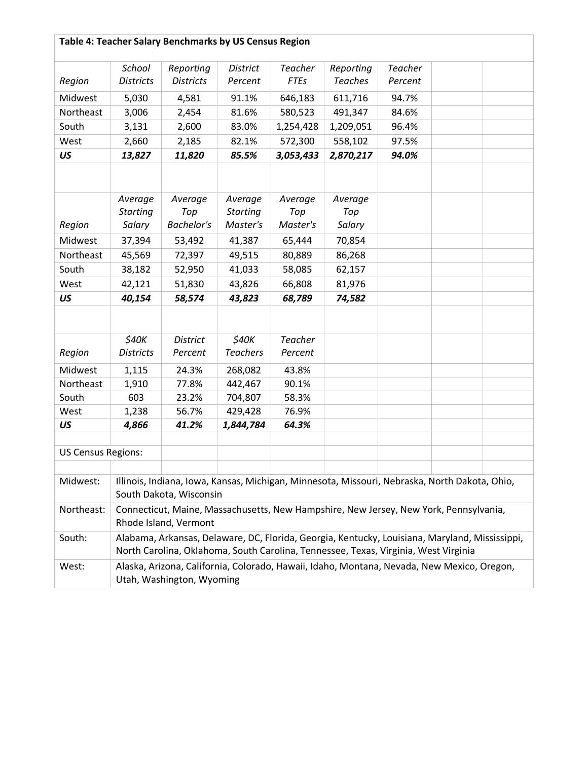# **Table 4: Teacher Salary Benchmarks by US Census Region**

|                           | <b>School</b>             | Reporting                                                                                      | <b>District</b> | <b>Teacher</b> | Reporting      | <b>Teacher</b> |  |
|---------------------------|---------------------------|------------------------------------------------------------------------------------------------|-----------------|----------------|----------------|----------------|--|
| Region                    | <b>Districts</b>          | <b>Districts</b>                                                                               | Percent         | <b>FTEs</b>    | <b>Teaches</b> | Percent        |  |
| Midwest                   | 5,030                     | 4,581                                                                                          | 91.1%           | 646,183        | 611,716        | 94.7%          |  |
| Northeast                 | 3,006                     | 2,454                                                                                          | 81.6%           | 580,523        | 491,347        | 84.6%          |  |
| South                     | 3,131                     | 2,600                                                                                          | 83.0%           | 1,254,428      | 1,209,051      | 96.4%          |  |
| West                      | 2,660                     | 2,185                                                                                          | 82.1%           | 572,300        | 558,102        | 97.5%          |  |
| US                        | 13,827                    | 11,820                                                                                         | 85.5%           | 3,053,433      | 2,870,217      | 94.0%          |  |
|                           |                           |                                                                                                |                 |                |                |                |  |
|                           |                           |                                                                                                |                 |                |                |                |  |
|                           | Average                   | Average                                                                                        | Average         | Average        | Average        |                |  |
|                           | <b>Starting</b>           | Top                                                                                            | <b>Starting</b> | Top            | Top            |                |  |
| Region                    | Salary                    | <b>Bachelor's</b>                                                                              | Master's        | Master's       | Salary         |                |  |
| Midwest                   | 37,394                    | 53,492                                                                                         | 41,387          | 65,444         | 70,854         |                |  |
| Northeast                 | 45,569                    | 72,397                                                                                         | 49,515          | 80,889         | 86,268         |                |  |
| South                     | 38,182                    | 52,950                                                                                         | 41,033          | 58,085         | 62,157         |                |  |
| West                      | 42,121                    | 51,830                                                                                         | 43,826          | 66,808         | 81,976         |                |  |
| US                        | 40,154                    | 58,574                                                                                         | 43,823          | 68,789         | 74,582         |                |  |
|                           |                           |                                                                                                |                 |                |                |                |  |
|                           |                           |                                                                                                |                 |                |                |                |  |
|                           | \$40K                     | <b>District</b>                                                                                | \$40K           | <b>Teacher</b> |                |                |  |
| Region                    | <b>Districts</b>          | Percent                                                                                        | <b>Teachers</b> | Percent        |                |                |  |
| Midwest                   | 1,115                     | 24.3%                                                                                          | 268,082         | 43.8%          |                |                |  |
| Northeast                 | 1,910                     | 77.8%                                                                                          | 442,467         | 90.1%          |                |                |  |
| South                     | 603                       | 23.2%                                                                                          | 704,807         | 58.3%          |                |                |  |
| West                      | 1,238                     | 56.7%                                                                                          | 429,428         | 76.9%          |                |                |  |
| US                        | 4,866                     | 41.2%                                                                                          | 1,844,784       | 64.3%          |                |                |  |
|                           |                           |                                                                                                |                 |                |                |                |  |
| <b>US Census Regions:</b> |                           |                                                                                                |                 |                |                |                |  |
|                           |                           |                                                                                                |                 |                |                |                |  |
| Midwest:                  |                           | Illinois, Indiana, Iowa, Kansas, Michigan, Minnesota, Missouri, Nebraska, North Dakota, Ohio,  |                 |                |                |                |  |
|                           |                           | South Dakota, Wisconsin                                                                        |                 |                |                |                |  |
| Northeast:                |                           | Connecticut, Maine, Massachusetts, New Hampshire, New Jersey, New York, Pennsylvania,          |                 |                |                |                |  |
|                           |                           | Rhode Island, Vermont                                                                          |                 |                |                |                |  |
| South:                    |                           | Alabama, Arkansas, Delaware, DC, Florida, Georgia, Kentucky, Louisiana, Maryland, Mississippi, |                 |                |                |                |  |
|                           |                           | North Carolina, Oklahoma, South Carolina, Tennessee, Texas, Virginia, West Virginia            |                 |                |                |                |  |
| West:                     |                           | Alaska, Arizona, California, Colorado, Hawaii, Idaho, Montana, Nevada, New Mexico, Oregon,     |                 |                |                |                |  |
|                           | Utah, Washington, Wyoming |                                                                                                |                 |                |                |                |  |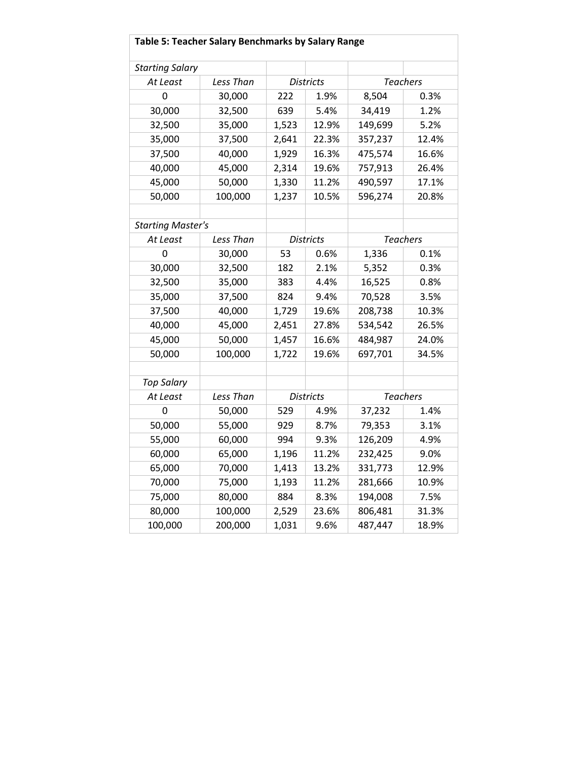| Table 5: Teacher Salary Benchmarks by Salary Range |           |       |                  |                 |                 |  |
|----------------------------------------------------|-----------|-------|------------------|-----------------|-----------------|--|
| <b>Starting Salary</b>                             |           |       |                  |                 |                 |  |
| At Least                                           | Less Than |       | <b>Districts</b> | <b>Teachers</b> |                 |  |
| 0                                                  | 30,000    | 222   | 1.9%             | 8,504           | 0.3%            |  |
| 30,000                                             | 32,500    | 639   | 5.4%             | 34,419          | 1.2%            |  |
| 32,500                                             | 35,000    | 1,523 | 12.9%            | 149,699         | 5.2%            |  |
| 35,000                                             | 37,500    | 2,641 | 22.3%            | 357,237         | 12.4%           |  |
| 37,500                                             | 40,000    | 1,929 | 16.3%            | 475,574         | 16.6%           |  |
| 40,000                                             | 45,000    | 2,314 | 19.6%            | 757,913         | 26.4%           |  |
| 45,000                                             | 50,000    | 1,330 | 11.2%            | 490,597         | 17.1%           |  |
| 50,000                                             | 100,000   | 1,237 | 10.5%            | 596,274         | 20.8%           |  |
|                                                    |           |       |                  |                 |                 |  |
| <b>Starting Master's</b>                           |           |       |                  |                 |                 |  |
| At Least                                           | Less Than |       | <b>Districts</b> |                 | <b>Teachers</b> |  |
| 0                                                  | 30,000    | 53    | 0.6%             | 1,336           | 0.1%            |  |
| 30,000                                             | 32,500    | 182   | 2.1%             | 5,352           | 0.3%            |  |
| 32,500                                             | 35,000    | 383   | 4.4%             | 16,525          | 0.8%            |  |
| 35,000                                             | 37,500    | 824   | 9.4%             | 70,528          | 3.5%            |  |
| 37,500                                             | 40,000    | 1,729 | 19.6%            | 208,738         | 10.3%           |  |
| 40,000                                             | 45,000    | 2,451 | 27.8%            | 534,542         | 26.5%           |  |
| 45,000                                             | 50,000    | 1,457 | 16.6%            | 484,987         | 24.0%           |  |
| 50,000                                             | 100,000   | 1,722 | 19.6%            | 697,701         | 34.5%           |  |
|                                                    |           |       |                  |                 |                 |  |
| <b>Top Salary</b>                                  |           |       |                  |                 |                 |  |
| At Least                                           | Less Than |       | <b>Districts</b> |                 | <b>Teachers</b> |  |
| $\mathbf 0$                                        | 50,000    | 529   | 4.9%             | 37,232          | 1.4%            |  |
| 50,000                                             | 55,000    | 929   | 8.7%             | 79,353          | 3.1%            |  |
| 55,000                                             | 60,000    | 994   | 9.3%             | 126,209         | 4.9%            |  |
| 60,000                                             | 65,000    | 1,196 | 11.2%            | 232,425         | 9.0%            |  |
| 65,000                                             | 70,000    | 1,413 | 13.2%            | 331,773         | 12.9%           |  |
| 70,000                                             | 75,000    | 1,193 | 11.2%            | 281,666         | 10.9%           |  |
| 75,000                                             | 80,000    | 884   | 8.3%             | 194,008         | 7.5%            |  |
| 80,000                                             | 100,000   | 2,529 | 23.6%            | 806,481         | 31.3%           |  |
| 100,000                                            | 200,000   | 1,031 | 9.6%             | 487,447         | 18.9%           |  |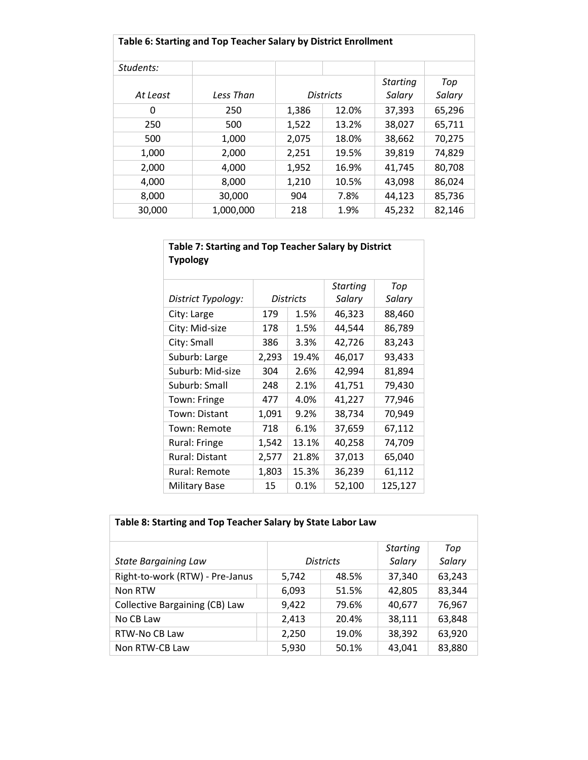| Table 6: Starting and Top Teacher Salary by District Enrollment |           |       |                  |                           |               |
|-----------------------------------------------------------------|-----------|-------|------------------|---------------------------|---------------|
| Students:                                                       |           |       |                  |                           |               |
| At Least                                                        | Less Than |       | <b>Districts</b> | <b>Starting</b><br>Salary | Top<br>Salary |
| 0                                                               | 250       | 1,386 | 12.0%            | 37,393                    | 65,296        |
| 250                                                             | 500       | 1,522 | 13.2%            | 38,027                    | 65,711        |
| 500                                                             | 1,000     | 2,075 | 18.0%            | 38,662                    | 70,275        |
| 1,000                                                           | 2,000     | 2,251 | 19.5%            | 39,819                    | 74,829        |
| 2,000                                                           | 4,000     | 1,952 | 16.9%            | 41.745                    | 80,708        |
| 4,000                                                           | 8,000     | 1,210 | 10.5%            | 43,098                    | 86,024        |
| 8,000                                                           | 30,000    | 904   | 7.8%             | 44,123                    | 85,736        |
| 30,000                                                          | 1,000,000 | 218   | 1.9%             | 45,232                    | 82,146        |

| Table 7: Starting and Top Teacher Salary by District<br><b>Typology</b> |       |                  |                           |               |  |
|-------------------------------------------------------------------------|-------|------------------|---------------------------|---------------|--|
| District Typology:                                                      |       | <b>Districts</b> | <b>Starting</b><br>Salary | Top<br>Salary |  |
| City: Large                                                             | 179   | 1.5%             | 46,323                    | 88,460        |  |
| City: Mid-size                                                          | 178   | 1.5%             | 44,544                    | 86,789        |  |
| City: Small                                                             | 386   | 3.3%             | 42,726                    | 83,243        |  |
| Suburb: Large                                                           | 2,293 | 19.4%            | 46,017                    | 93,433        |  |
| Suburb: Mid-size                                                        | 304   | 2.6%             | 42,994                    | 81,894        |  |
| Suburb: Small                                                           | 248   | 2.1%             | 41,751                    | 79,430        |  |
| Town: Fringe                                                            | 477   | 4.0%             | 41,227                    | 77,946        |  |
| Town: Distant                                                           | 1,091 | 9.2%             | 38,734                    | 70,949        |  |
| Town: Remote                                                            | 718   | 6.1%             | 37,659                    | 67,112        |  |
| Rural: Fringe                                                           | 1,542 | 13.1%            | 40,258                    | 74,709        |  |
| <b>Rural: Distant</b>                                                   | 2,577 | 21.8%            | 37,013                    | 65,040        |  |
| Rural: Remote                                                           | 1,803 | 15.3%            | 36,239                    | 61,112        |  |
| <b>Military Base</b>                                                    | 15    | 0.1%             | 52,100                    | 125,127       |  |

| Table 8: Starting and Top Teacher Salary by State Labor Law |       |                  |                           |               |  |
|-------------------------------------------------------------|-------|------------------|---------------------------|---------------|--|
| <b>State Bargaining Law</b>                                 |       | <b>Districts</b> | <b>Starting</b><br>Salary | Top<br>Salary |  |
| Right-to-work (RTW) - Pre-Janus                             | 5,742 | 48.5%            | 37,340                    | 63,243        |  |
| Non RTW                                                     | 6,093 | 51.5%            | 42,805                    | 83,344        |  |
| <b>Collective Bargaining (CB) Law</b>                       | 9,422 | 79.6%            | 40,677                    | 76,967        |  |
| No CB Law                                                   | 2,413 | 20.4%            | 38,111                    | 63,848        |  |
| RTW-No CB Law                                               | 2,250 | 19.0%            | 38,392                    | 63,920        |  |
| Non RTW-CB Law                                              | 5,930 | 50.1%            | 43,041                    | 83,880        |  |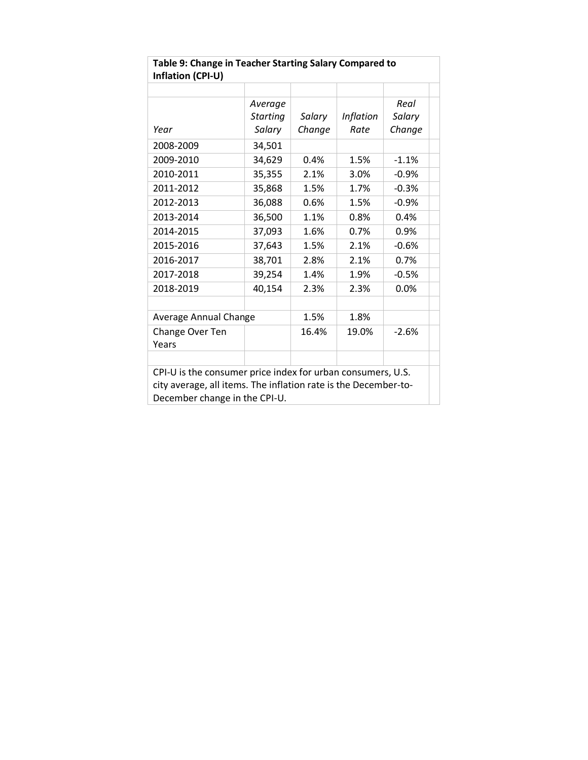| Table 9: Change in Teacher Starting Salary Compared to<br>Inflation (CPI-U)                                                                                     |                            |        |                          |                |  |
|-----------------------------------------------------------------------------------------------------------------------------------------------------------------|----------------------------|--------|--------------------------|----------------|--|
|                                                                                                                                                                 |                            |        |                          |                |  |
| Year                                                                                                                                                            | Average<br><b>Starting</b> | Salary | <b>Inflation</b><br>Rate | Real<br>Salary |  |
|                                                                                                                                                                 | Salary                     | Change |                          | Change         |  |
| 2008-2009                                                                                                                                                       | 34,501                     |        |                          |                |  |
| 2009-2010                                                                                                                                                       | 34,629                     | 0.4%   | 1.5%                     | $-1.1%$        |  |
| 2010-2011                                                                                                                                                       | 35,355                     | 2.1%   | 3.0%                     | $-0.9%$        |  |
| 2011-2012                                                                                                                                                       | 35,868                     | 1.5%   | 1.7%                     | $-0.3%$        |  |
| 2012-2013                                                                                                                                                       | 36,088                     | 0.6%   | 1.5%                     | $-0.9%$        |  |
| 2013-2014                                                                                                                                                       | 36,500                     | 1.1%   | 0.8%                     | 0.4%           |  |
| 2014-2015                                                                                                                                                       | 37,093                     | 1.6%   | 0.7%                     | 0.9%           |  |
| 2015-2016                                                                                                                                                       | 37,643                     | 1.5%   | 2.1%                     | $-0.6%$        |  |
| 2016-2017                                                                                                                                                       | 38,701                     | 2.8%   | 2.1%                     | 0.7%           |  |
| 2017-2018                                                                                                                                                       | 39,254                     | 1.4%   | 1.9%                     | $-0.5%$        |  |
| 2018-2019                                                                                                                                                       | 40,154                     | 2.3%   | 2.3%                     | 0.0%           |  |
|                                                                                                                                                                 |                            |        |                          |                |  |
| Average Annual Change                                                                                                                                           |                            | 1.5%   | 1.8%                     |                |  |
| Change Over Ten<br>Years                                                                                                                                        |                            | 16.4%  | 19.0%                    | $-2.6%$        |  |
|                                                                                                                                                                 |                            |        |                          |                |  |
| CPI-U is the consumer price index for urban consumers, U.S.<br>city average, all items. The inflation rate is the December-to-<br>December change in the CPI-U. |                            |        |                          |                |  |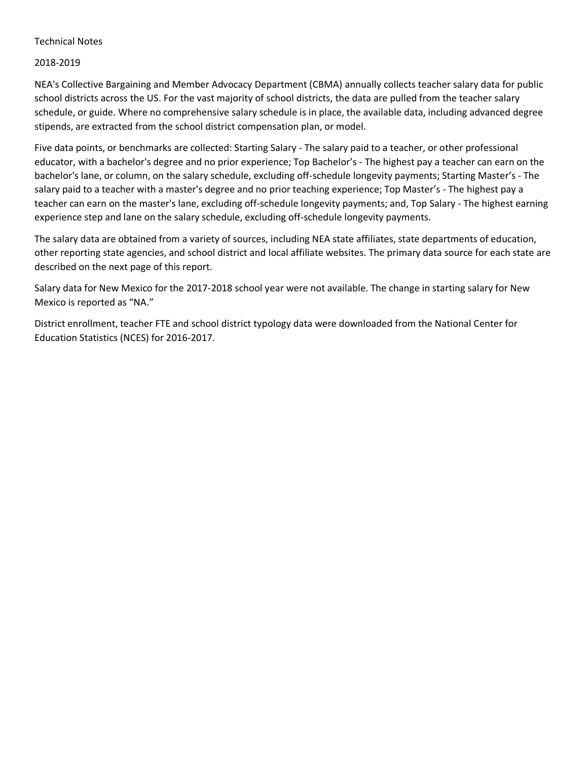### Technical Notes

### 2018-2019

NEA's Collective Bargaining and Member Advocacy Department (CBMA) annually collects teacher salary data for public school districts across the US. For the vast majority of school districts, the data are pulled from the teacher salary schedule, or guide. Where no comprehensive salary schedule is in place, the available data, including advanced degree stipends, are extracted from the school district compensation plan, or model.

Five data points, or benchmarks are collected: Starting Salary - The salary paid to a teacher, or other professional educator, with a bachelor's degree and no prior experience; Top Bachelor's - The highest pay a teacher can earn on the bachelor's lane, or column, on the salary schedule, excluding off-schedule longevity payments; Starting Master's - The salary paid to a teacher with a master's degree and no prior teaching experience; Top Master's - The highest pay a teacher can earn on the master's lane, excluding off-schedule longevity payments; and, Top Salary - The highest earning experience step and lane on the salary schedule, excluding off-schedule longevity payments.

The salary data are obtained from a variety of sources, including NEA state affiliates, state departments of education, other reporting state agencies, and school district and local affiliate websites. The primary data source for each state are described on the next page of this report.

Salary data for New Mexico for the 2017-2018 school year were not available. The change in starting salary for New Mexico is reported as "NA."

District enrollment, teacher FTE and school district typology data were downloaded from the National Center for Education Statistics (NCES) for 2016-2017.